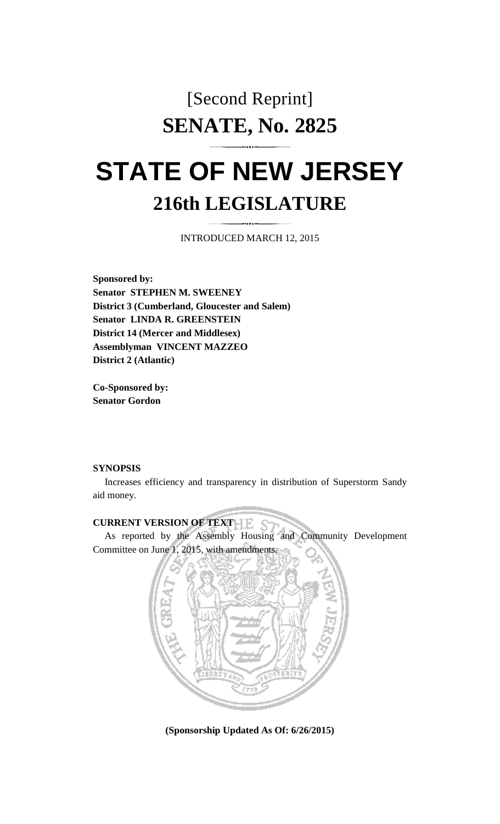# [Second Reprint] **SENATE, No. 2825**

# **STATE OF NEW JERSEY 216th LEGISLATURE**

INTRODUCED MARCH 12, 2015

**Sponsored by: Senator STEPHEN M. SWEENEY District 3 (Cumberland, Gloucester and Salem) Senator LINDA R. GREENSTEIN District 14 (Mercer and Middlesex) Assemblyman VINCENT MAZZEO District 2 (Atlantic)** 

**Co-Sponsored by: Senator Gordon** 

#### **SYNOPSIS**

 Increases efficiency and transparency in distribution of Superstorm Sandy aid money.

# **CURRENT VERSION OF TEXT**

 As reported by the Assembly Housing and Community Development Committee on June 1, 2015, with amendments.



**(Sponsorship Updated As Of: 6/26/2015)**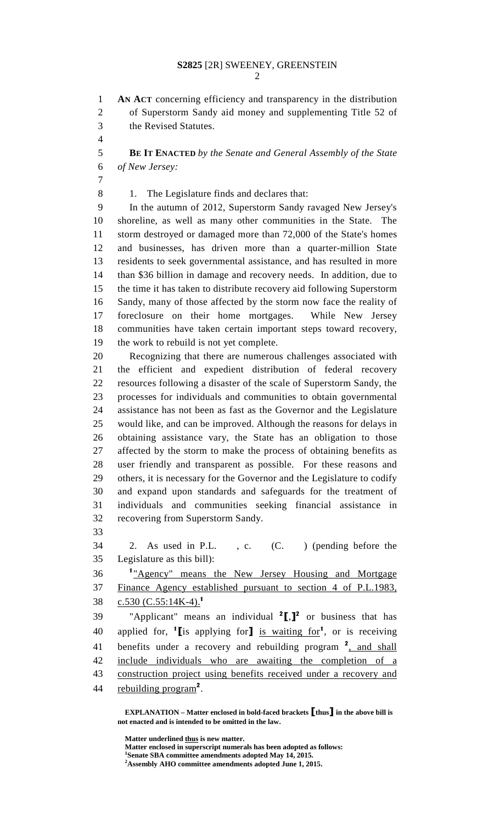2

1 **AN ACT** concerning efficiency and transparency in the distribution 2 of Superstorm Sandy aid money and supplementing Title 52 of 3 the Revised Statutes.

4

5 **BE IT ENACTED** *by the Senate and General Assembly of the State*  6 *of New Jersey:*

7

8 1. The Legislature finds and declares that:

9 In the autumn of 2012, Superstorm Sandy ravaged New Jersey's 10 shoreline, as well as many other communities in the State. The 11 storm destroyed or damaged more than 72,000 of the State's homes 12 and businesses, has driven more than a quarter-million State 13 residents to seek governmental assistance, and has resulted in more 14 than \$36 billion in damage and recovery needs. In addition, due to 15 the time it has taken to distribute recovery aid following Superstorm 16 Sandy, many of those affected by the storm now face the reality of 17 foreclosure on their home mortgages. While New Jersey 18 communities have taken certain important steps toward recovery, 19 the work to rebuild is not yet complete.

20 Recognizing that there are numerous challenges associated with 21 the efficient and expedient distribution of federal recovery 22 resources following a disaster of the scale of Superstorm Sandy, the 23 processes for individuals and communities to obtain governmental 24 assistance has not been as fast as the Governor and the Legislature 25 would like, and can be improved. Although the reasons for delays in 26 obtaining assistance vary, the State has an obligation to those 27 affected by the storm to make the process of obtaining benefits as 28 user friendly and transparent as possible. For these reasons and 29 others, it is necessary for the Governor and the Legislature to codify 30 and expand upon standards and safeguards for the treatment of 31 individuals and communities seeking financial assistance in 32 recovering from Superstorm Sandy.

33

34 2. As used in P.L. , c. (C. ) (pending before the 35 Legislature as this bill):

<sup>1</sup> 36 "Agency" means the New Jersey Housing and Mortgage 37 Finance Agency established pursuant to section 4 of P.L.1983, 38  $C.530 (C.55:14K-4).$ <sup>1</sup>

39 "Applicant" means an individual  $2$ [,] $2$  or business that has 40 applied for,  $\textbf{1}$  [is applying for] is waiting for<sup>1</sup>, or is receiving 41 benefits under a recovery and rebuilding program  $2$ , and shall 42 include individuals who are awaiting the completion of a 43 construction project using benefits received under a recovery and 44 rebuilding  $program<sup>2</sup>$ .

 **EXPLANATION – Matter enclosed in bold-faced brackets** [**thus**] **in the above bill is not enacted and is intended to be omitted in the law.** 

 **Matter underlined thus is new matter.** 

 **Matter enclosed in superscript numerals has been adopted as follows: 1**

**Senate SBA committee amendments adopted May 14, 2015.** 

**<sup>2</sup> Assembly AHO committee amendments adopted June 1, 2015.**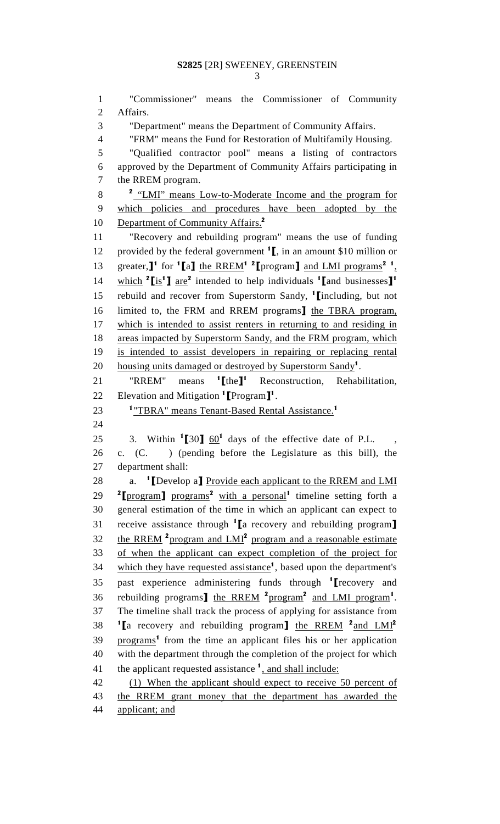1 "Commissioner" means the Commissioner of Community 2 Affairs. 3 "Department" means the Department of Community Affairs. 4 "FRM" means the Fund for Restoration of Multifamily Housing. 5 "Qualified contractor pool" means a listing of contractors 6 approved by the Department of Community Affairs participating in 7 the RREM program. 8 <sup>2</sup> "LMI" means Low-to-Moderate Income and the program for 9 which policies and procedures have been adopted by the 10 Department of Community Affairs.<sup>2</sup> 11 "Recovery and rebuilding program" means the use of funding 12 provided by the federal government  $\mathbf{1}$ , in an amount \$10 million or 13 greater,  $\mathbf{I}^1$  for  $\mathbf{I}$  and  $\mathbf{I}$  and  $\mathbf{I}$  and  $\mathbf{I}$  and  $\mathbf{I}$  and  $\mathbf{I}$   $\mathbf{M}$  programs<sup>2</sup>, 14 which  $2 \sin^2 2$  intended to help individuals  $\tan^1$  and businesses  $\tan^1$ 15 rebuild and recover from Superstorm Sandy,  $\frac{1}{2}$  [including, but not 16 limited to, the FRM and RREM programs] the TBRA program, 17 which is intended to assist renters in returning to and residing in 18 areas impacted by Superstorm Sandy, and the FRM program, which 19 is intended to assist developers in repairing or replacing rental 20 housing units damaged or destroyed by Superstorm Sandy<sup>1</sup>. " $RREM$ " means  $1$ [the]<sup>1</sup> 21 "RREM" means  ${}^{1}\text{[the]}^{1}$  Reconstruction, Rehabilitation, 22 Elevation and Mitigation  $\text{1}$  Program  $\text{1}^{\text{1}}$ . 23 <sup>1</sup>"TBRA" means Tenant-Based Rental Assistance.<sup>1</sup> 24 25 3. Within  $1\overline{30}$   $\overline{60}$ <sup>1</sup> days of the effective date of P.L., 26 c. (C. ) (pending before the Legislature as this bill), the 27 department shall: 28 a. <sup>1</sup> [Develop a] Provide each applicant to the RREM and LMI 29 <sup>2</sup>[program] programs<sup>2</sup> with a personal<sup>1</sup> timeline setting forth a 30 general estimation of the time in which an applicant can expect to 31 receive assistance through  ${}^{1}\mathbf{a}$  recovery and rebuilding program] 32 the RREM <sup>2</sup> program and  $LMI<sup>2</sup>$  program and a reasonable estimate 33 of when the applicant can expect completion of the project for 34 which they have requested assistance<sup>1</sup>, based upon the department's 35 past experience administering funds through  $1$  recovery and 36 rebuilding programs] the RREM  $2p$  rogram<sup>2</sup> and LMI program<sup>1</sup>. 37 The timeline shall track the process of applying for assistance from 38 <sup>1</sup> [a recovery and rebuilding program] the RREM <sup>2</sup> and LMI<sup>2</sup> 39 programs<sup>1</sup> from the time an applicant files his or her application 40 with the department through the completion of the project for which 41 the applicant requested assistance  $\frac{1}{1}$ , and shall include: 42 (1) When the applicant should expect to receive 50 percent of 43 the RREM grant money that the department has awarded the 44 applicant; and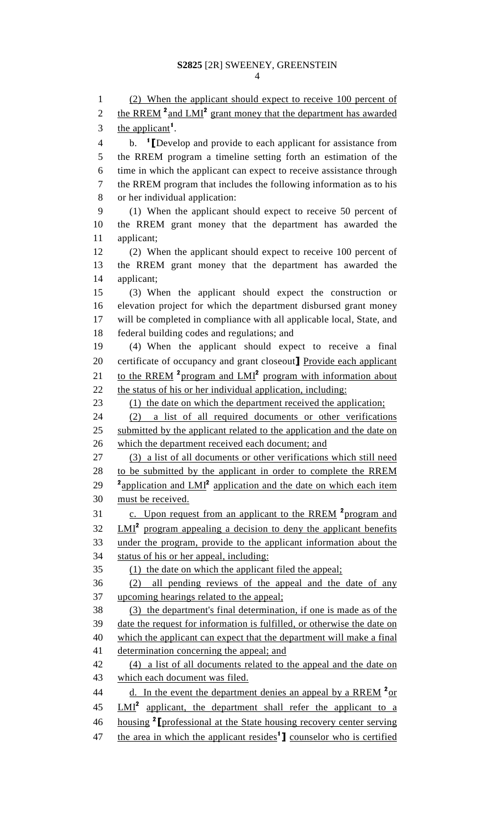1 (2) When the applicant should expect to receive 100 percent of 2 the RREM  $^2$  and LMI<sup>2</sup> grant money that the department has awarded 3 the applicant<sup>1</sup>. 4 b. <sup>1</sup> [Develop and provide to each applicant for assistance from 5 the RREM program a timeline setting forth an estimation of the 6 time in which the applicant can expect to receive assistance through 7 the RREM program that includes the following information as to his 8 or her individual application: 9 (1) When the applicant should expect to receive 50 percent of 10 the RREM grant money that the department has awarded the 11 applicant; 12 (2) When the applicant should expect to receive 100 percent of 13 the RREM grant money that the department has awarded the 14 applicant; 15 (3) When the applicant should expect the construction or 16 elevation project for which the department disbursed grant money 17 will be completed in compliance with all applicable local, State, and 18 federal building codes and regulations; and 19 (4) When the applicant should expect to receive a final 20 certificate of occupancy and grant closeout] Provide each applicant 21 to the RREM <sup>2</sup> program and LMI<sup>2</sup> program with information about 22 the status of his or her individual application, including: 23 (1) the date on which the department received the application; 24 (2) a list of all required documents or other verifications 25 submitted by the applicant related to the application and the date on 26 which the department received each document; and 27 (3) a list of all documents or other verifications which still need 28 to be submitted by the applicant in order to complete the RREM 29  $\text{a}^2$  application and LMI<sup>2</sup> application and the date on which each item 30 must be received. 31 c. Upon request from an applicant to the RREM <sup>2</sup> program and  $32 \quad LMI<sup>2</sup>$  program appealing a decision to deny the applicant benefits 33 under the program, provide to the applicant information about the 34 status of his or her appeal, including: 35 (1) the date on which the applicant filed the appeal; 36 (2) all pending reviews of the appeal and the date of any 37 upcoming hearings related to the appeal; 38 (3) the department's final determination, if one is made as of the 39 date the request for information is fulfilled, or otherwise the date on 40 which the applicant can expect that the department will make a final 41 determination concerning the appeal; and 42 (4) a list of all documents related to the appeal and the date on 43 which each document was filed. 44  $\frac{d. \text{In the event the department denies an appeal by a RREM}{}^{2} \text{or}$ 45 LMI<sup>2</sup> applicant, the department shall refer the applicant to a 46 housing <sup>2</sup> [professional at the State housing recovery center serving 47 the area in which the applicant resides<sup>1</sup>] counselor who is certified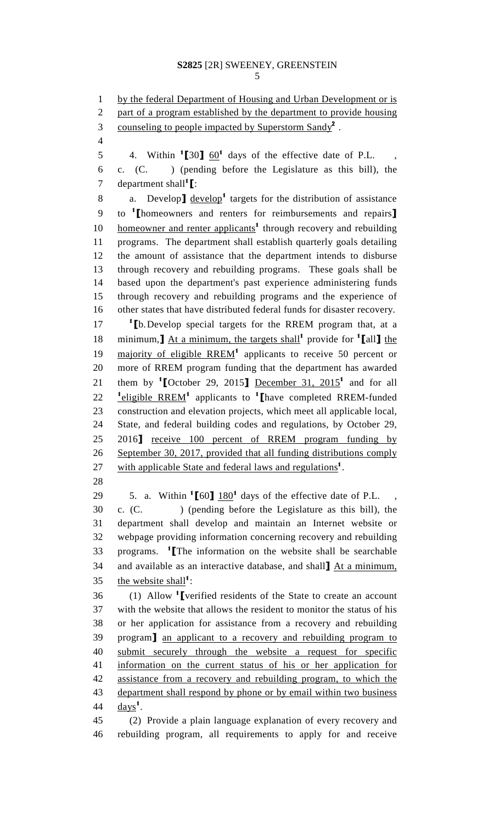5

1 by the federal Department of Housing and Urban Development or is 2 part of a program established by the department to provide housing 3 counseling to people impacted by Superstorm Sandy<sup>2</sup>. 4 5 4. Within  $\text{150}$   $\frac{60}{1}$  days of the effective date of P.L., 6 c. (C. ) (pending before the Legislature as this bill), the 7 department shall<sup>1</sup> $\Gamma$ : 8 a. Develop  $\text{level}$  develop<sup>1</sup> targets for the distribution of assistance 9 to <sup>1</sup> [homeowners and renters for reimbursements and repairs]  $h$  homeowner and renter applicants<sup>1</sup> through recovery and rebuilding 11 programs. The department shall establish quarterly goals detailing 12 the amount of assistance that the department intends to disburse 13 through recovery and rebuilding programs. These goals shall be 14 based upon the department's past experience administering funds 15 through recovery and rebuilding programs and the experience of 16 other states that have distributed federal funds for disaster recovery.  $17 \t1$  [b. Develop special targets for the RREM program that, at a 18 minimum,  $\Delta t$  a minimum, the targets shall<sup>1</sup> provide for <sup>1</sup> [all] the 19 majority of eligible RREM<sup>1</sup> applicants to receive 50 percent or 20 more of RREM program funding that the department has awarded 21 them by <sup>1</sup> [October 29, 2015] December 31, 2015<sup>1</sup> and for all 22  $\frac{1 \text{ eligible} \text{RREM}^1}{2 \text{ applications}}$  applicants to  $\frac{1}{2}$  [have completed RREM-funded 23 construction and elevation projects, which meet all applicable local, 24 State, and federal building codes and regulations, by October 29, 25 2016] receive 100 percent of RREM program funding by 26 September 30, 2017, provided that all funding distributions comply 27 with applicable State and federal laws and regulations<sup>1</sup>. 28 29  $\quad$  5. a. Within  $\text{1}$  [60]  $\frac{180}{1}$  days of the effective date of P.L., 30 c. (C. ) (pending before the Legislature as this bill), the 31 department shall develop and maintain an Internet website or 32 webpage providing information concerning recovery and rebuilding  $33$  programs. <sup>1</sup> The information on the website shall be searchable 34 and available as an interactive database, and shall] At a minimum, 35 the website shall<sup>1</sup>:  $36$  (1) Allow <sup>1</sup> verified residents of the State to create an account 37 with the website that allows the resident to monitor the status of his 38 or her application for assistance from a recovery and rebuilding 39 program] an applicant to a recovery and rebuilding program to 40 submit securely through the website a request for specific 41 information on the current status of his or her application for 42 assistance from a recovery and rebuilding program, to which the 43 department shall respond by phone or by email within two business 44  $\frac{days^1}{.}$ 45 (2) Provide a plain language explanation of every recovery and 46 rebuilding program, all requirements to apply for and receive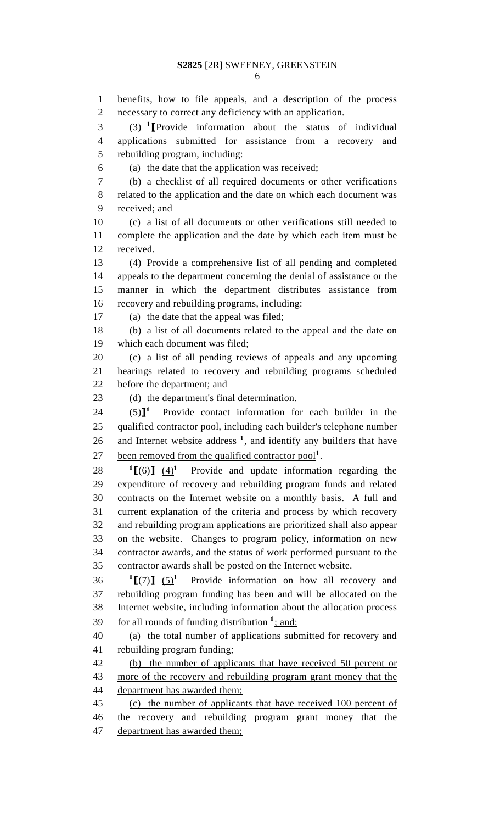1 benefits, how to file appeals, and a description of the process 2 necessary to correct any deficiency with an application.

 $(3)$   $(3)$  **T**Provide information about the status of individual 4 applications submitted for assistance from a recovery and 5 rebuilding program, including:

6 (a) the date that the application was received;

7 (b) a checklist of all required documents or other verifications 8 related to the application and the date on which each document was 9 received; and

10 (c) a list of all documents or other verifications still needed to 11 complete the application and the date by which each item must be 12 received.

13 (4) Provide a comprehensive list of all pending and completed 14 appeals to the department concerning the denial of assistance or the 15 manner in which the department distributes assistance from 16 recovery and rebuilding programs, including:

17 (a) the date that the appeal was filed;

18 (b) a list of all documents related to the appeal and the date on 19 which each document was filed;

20 (c) a list of all pending reviews of appeals and any upcoming 21 hearings related to recovery and rebuilding programs scheduled 22 before the department; and

23 (d) the department's final determination.

 $24$  (5)<sup>1</sup> Provide contact information for each builder in the 25 qualified contractor pool, including each builder's telephone number 26 and Internet website address  $<sup>1</sup>$ , and identify any builders that have</sup> 27 been removed from the qualified contractor pool<sup>1</sup>.

 $^{1}$ [(6)] (4)<sup>1</sup> 28  $\left[1\right]$  (4)<sup>1</sup> Provide and update information regarding the 29 expenditure of recovery and rebuilding program funds and related 30 contracts on the Internet website on a monthly basis. A full and 31 current explanation of the criteria and process by which recovery 32 and rebuilding program applications are prioritized shall also appear 33 on the website. Changes to program policy, information on new 34 contractor awards, and the status of work performed pursuant to the 35 contractor awards shall be posted on the Internet website.

 $^{1}$ [(7)] (5)<sup>1</sup> 36  $\left[ \begin{matrix} 7 \end{matrix} \right]$   $\left[ \begin{matrix} 5 \end{matrix} \right]$ <sup>1</sup> Provide information on how all recovery and 37 rebuilding program funding has been and will be allocated on the 38 Internet website, including information about the allocation process  $\frac{1}{2}$  for all rounds of funding distribution  $\frac{1}{2}$  and:

40 (a) the total number of applications submitted for recovery and 41 rebuilding program funding;

42 (b) the number of applicants that have received 50 percent or 43 more of the recovery and rebuilding program grant money that the 44 department has awarded them;

45 (c) the number of applicants that have received 100 percent of 46 the recovery and rebuilding program grant money that the 47 department has awarded them;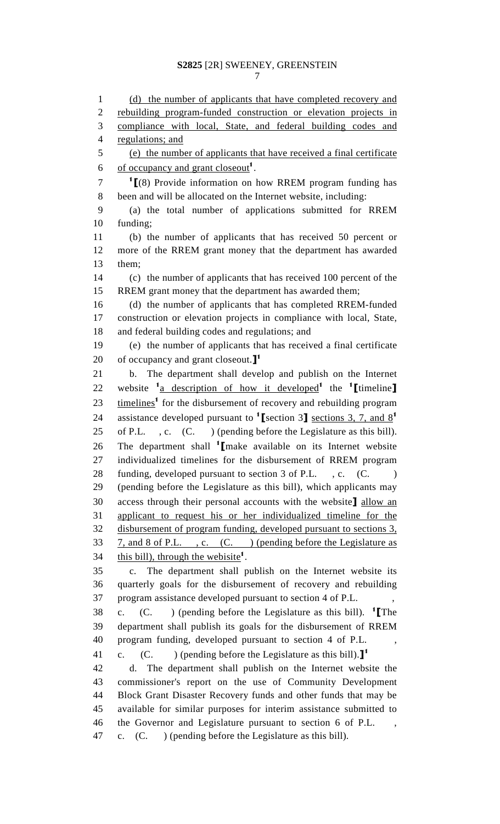1 (d) the number of applicants that have completed recovery and 2 rebuilding program-funded construction or elevation projects in 3 compliance with local, State, and federal building codes and 4 regulations; and 5 (e) the number of applicants that have received a final certificate 6 . of occupancy and grant closeout<sup>1</sup>.  $1$   $\left[$  (8) Provide information on how RREM program funding has 8 been and will be allocated on the Internet website, including: 9 (a) the total number of applications submitted for RREM 10 funding; 11 (b) the number of applicants that has received 50 percent or 12 more of the RREM grant money that the department has awarded 13 them; 14 (c) the number of applicants that has received 100 percent of the 15 RREM grant money that the department has awarded them; 16 (d) the number of applicants that has completed RREM-funded 17 construction or elevation projects in compliance with local, State, 18 and federal building codes and regulations; and 19 (e) the number of applicants that has received a final certificate 20 of occupancy and grant closeout. $\mathbf{I}^1$ 21 b. The department shall develop and publish on the Internet 22 website <sup>1</sup> a description of how it developed<sup>1</sup> the <sup>1</sup>[timeline]  $23$   $timelines<sup>1</sup>$  for the disbursement of recovery and rebuilding program 24 assistance developed pursuant to  $\textsf{T}$  section 3. T and  $\textsf{R}^1$ 25 of P.L. , c. (C. ) (pending before the Legislature as this bill). 26 The department shall  $\frac{1}{2}$  make available on its Internet website 27 individualized timelines for the disbursement of RREM program 28 funding, developed pursuant to section 3 of P.L., c. (C.) 29 (pending before the Legislature as this bill), which applicants may 30 access through their personal accounts with the website] allow an 31 applicant to request his or her individualized timeline for the 32 disbursement of program funding, developed pursuant to sections 3, 33 7, and 8 of P.L. , c. (C. ) (pending before the Legislature as 34 this bill), through the webisite<sup>1</sup>. 35 c. The department shall publish on the Internet website its 36 quarterly goals for the disbursement of recovery and rebuilding 37 program assistance developed pursuant to section 4 of P.L. , 38 c. (C. ) (pending before the Legislature as this bill). <sup>1</sup> [The 39 department shall publish its goals for the disbursement of RREM 40 program funding, developed pursuant to section 4 of P.L. , 41 c. (C. ) (pending before the Legislature as this bill). $\mathbf{J}^1$ 42 d. The department shall publish on the Internet website the 43 commissioner's report on the use of Community Development 44 Block Grant Disaster Recovery funds and other funds that may be 45 available for similar purposes for interim assistance submitted to 46 the Governor and Legislature pursuant to section 6 of P.L. , 47 c. (C. ) (pending before the Legislature as this bill).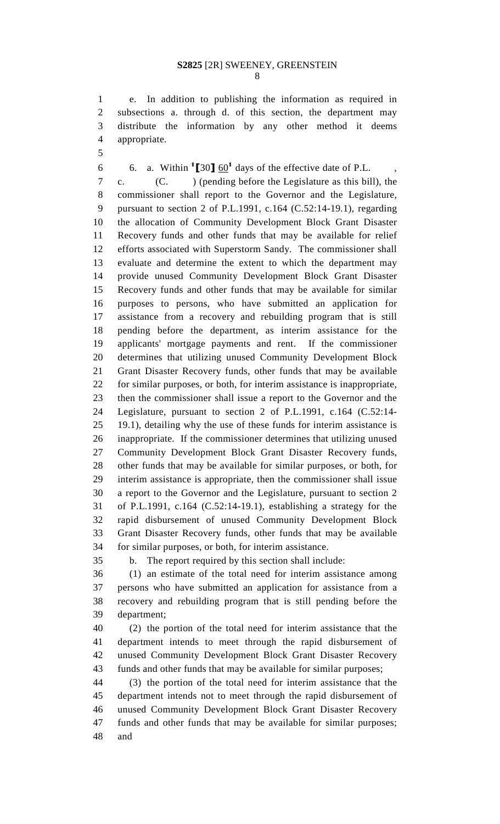1 e. In addition to publishing the information as required in 2 subsections a. through d. of this section, the department may 3 distribute the information by any other method it deems 4 appropriate.

5

6 6. a. Within  $\text{150}$   $\text{60}$ <sup>1</sup> days of the effective date of P.L.,

7 c. (C. ) (pending before the Legislature as this bill), the 8 commissioner shall report to the Governor and the Legislature, 9 pursuant to section 2 of P.L.1991, c.164 (C.52:14-19.1), regarding 10 the allocation of Community Development Block Grant Disaster 11 Recovery funds and other funds that may be available for relief 12 efforts associated with Superstorm Sandy. The commissioner shall 13 evaluate and determine the extent to which the department may 14 provide unused Community Development Block Grant Disaster 15 Recovery funds and other funds that may be available for similar 16 purposes to persons, who have submitted an application for 17 assistance from a recovery and rebuilding program that is still 18 pending before the department, as interim assistance for the 19 applicants' mortgage payments and rent. If the commissioner 20 determines that utilizing unused Community Development Block 21 Grant Disaster Recovery funds, other funds that may be available 22 for similar purposes, or both, for interim assistance is inappropriate, 23 then the commissioner shall issue a report to the Governor and the 24 Legislature, pursuant to section 2 of P.L.1991, c.164 (C.52:14- 25 19.1), detailing why the use of these funds for interim assistance is 26 inappropriate. If the commissioner determines that utilizing unused 27 Community Development Block Grant Disaster Recovery funds, 28 other funds that may be available for similar purposes, or both, for 29 interim assistance is appropriate, then the commissioner shall issue 30 a report to the Governor and the Legislature, pursuant to section 2 31 of P.L.1991, c.164 (C.52:14-19.1), establishing a strategy for the 32 rapid disbursement of unused Community Development Block 33 Grant Disaster Recovery funds, other funds that may be available 34 for similar purposes, or both, for interim assistance.

35 b. The report required by this section shall include:

36 (1) an estimate of the total need for interim assistance among 37 persons who have submitted an application for assistance from a 38 recovery and rebuilding program that is still pending before the 39 department;

40 (2) the portion of the total need for interim assistance that the 41 department intends to meet through the rapid disbursement of 42 unused Community Development Block Grant Disaster Recovery 43 funds and other funds that may be available for similar purposes;

44 (3) the portion of the total need for interim assistance that the 45 department intends not to meet through the rapid disbursement of 46 unused Community Development Block Grant Disaster Recovery 47 funds and other funds that may be available for similar purposes; 48 and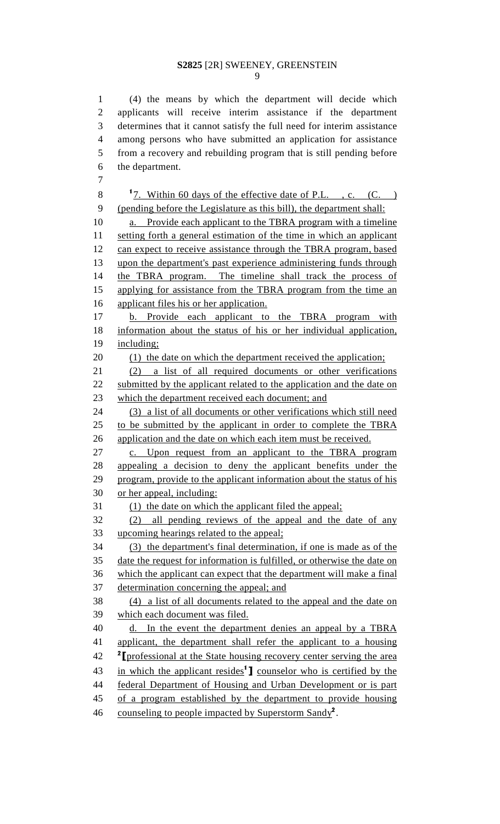9

1 (4) the means by which the department will decide which 2 applicants will receive interim assistance if the department 3 determines that it cannot satisfy the full need for interim assistance 4 among persons who have submitted an application for assistance 5 from a recovery and rebuilding program that is still pending before 6 the department. 7 8  $\frac{1}{2}$ . Within 60 days of the effective date of P.L., c. (C.) 9 (pending before the Legislature as this bill), the department shall: 10 a. Provide each applicant to the TBRA program with a timeline 11 setting forth a general estimation of the time in which an applicant 12 can expect to receive assistance through the TBRA program, based 13 upon the department's past experience administering funds through 14 the TBRA program. The timeline shall track the process of 15 applying for assistance from the TBRA program from the time an 16 applicant files his or her application.

17 b. Provide each applicant to the TBRA program with 18 information about the status of his or her individual application, 19 including;

20 (1) the date on which the department received the application;

21 (2) a list of all required documents or other verifications 22 submitted by the applicant related to the application and the date on 23 which the department received each document; and

24 (3) a list of all documents or other verifications which still need 25 to be submitted by the applicant in order to complete the TBRA 26 application and the date on which each item must be received.

27 c. Upon request from an applicant to the TBRA program 28 appealing a decision to deny the applicant benefits under the 29 program, provide to the applicant information about the status of his 30 or her appeal, including:

31 (1) the date on which the applicant filed the appeal;

32 (2) all pending reviews of the appeal and the date of any 33 upcoming hearings related to the appeal;

34 (3) the department's final determination, if one is made as of the 35 date the request for information is fulfilled, or otherwise the date on 36 which the applicant can expect that the department will make a final 37 determination concerning the appeal; and

38 (4) a list of all documents related to the appeal and the date on which each document was filed.<br>40 d. In the event the department denies an appeal by a TBRA

41 applicant, the department shall refer the applicant to a housing <sup>2</sup> [professional at the State housing recovery center serving the area 43 in which the applicant resides<sup>1</sup>] counselor who is certified by the 44 federal Department of Housing and Urban Development or is part 45 of a program established by the department to provide housing

46 counseling to people impacted by Superstorm Sandy<sup>2</sup>.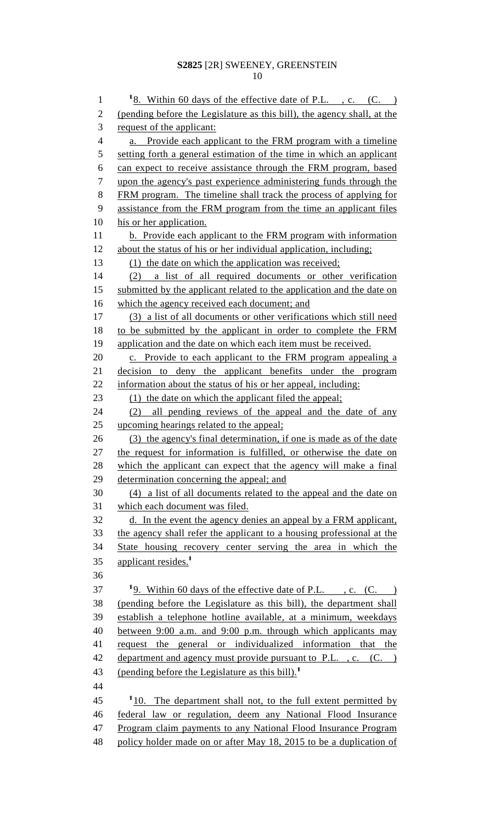1  $\frac{18. \text{Within } 60 \text{ days of the effective date of P.L.}$ , c. (C. ) 2 (pending before the Legislature as this bill), the agency shall, at the 3 request of the applicant: 4 a. Provide each applicant to the FRM program with a timeline 5 setting forth a general estimation of the time in which an applicant 6 can expect to receive assistance through the FRM program, based 7 upon the agency's past experience administering funds through the 8 FRM program. The timeline shall track the process of applying for 9 assistance from the FRM program from the time an applicant files 10 his or her application. 11 b. Provide each applicant to the FRM program with information 12 about the status of his or her individual application, including; 13 (1) the date on which the application was received; 14 (2) a list of all required documents or other verification 15 submitted by the applicant related to the application and the date on 16 which the agency received each document; and 17 (3) a list of all documents or other verifications which still need 18 to be submitted by the applicant in order to complete the FRM 19 application and the date on which each item must be received. 20 c. Provide to each applicant to the FRM program appealing a 21 decision to deny the applicant benefits under the program 22 information about the status of his or her appeal, including: 23 (1) the date on which the applicant filed the appeal; 24 (2) all pending reviews of the appeal and the date of any 25 upcoming hearings related to the appeal; 26 (3) the agency's final determination, if one is made as of the date 27 the request for information is fulfilled, or otherwise the date on 28 which the applicant can expect that the agency will make a final 29 determination concerning the appeal; and 30 (4) a list of all documents related to the appeal and the date on 31 which each document was filed. 32 d. In the event the agency denies an appeal by a FRM applicant, 33 the agency shall refer the applicant to a housing professional at the 34 State housing recovery center serving the area in which the 35 applicant resides.<sup>1</sup> 36  $19.$  Within 60 days of the effective date of P.L., c. (C.) 38 (pending before the Legislature as this bill), the department shall 39 establish a telephone hotline available, at a minimum, weekdays 40 between 9:00 a.m. and 9:00 p.m. through which applicants may 41 request the general or individualized information that the 42 department and agency must provide pursuant to P.L., c. (C.) 43 (pending before the Legislature as this bill).<sup>1</sup> 44  $110$ . The department shall not, to the full extent permitted by 46 federal law or regulation, deem any National Flood Insurance 47 Program claim payments to any National Flood Insurance Program 48 policy holder made on or after May 18, 2015 to be a duplication of